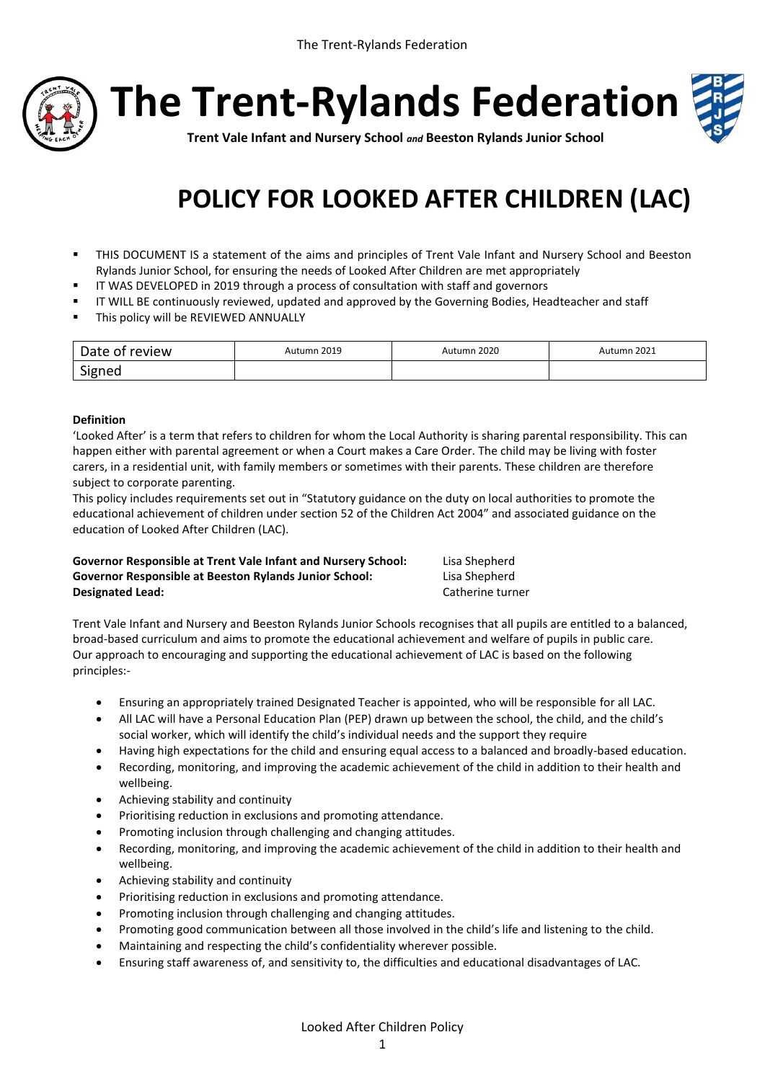

**The Trent-Rylands Federation**



**Trent Vale Infant and Nursery School** *and* **Beeston Rylands Junior School**

# **POLICY FOR LOOKED AFTER CHILDREN (LAC)**

- THIS DOCUMENT IS a statement of the aims and principles of Trent Vale Infant and Nursery School and Beeston Rylands Junior School, for ensuring the needs of Looked After Children are met appropriately
- **IF WAS DEVELOPED in 2019 through a process of consultation with staff and governors**
- IT WILL BE continuously reviewed, updated and approved by the Governing Bodies, Headteacher and staff
- **This policy will be REVIEWED ANNUALLY**

| Date of<br>review | 2019 ו<br>utumn | 2020<br>Autumr<br>$\sim$ $\sim$ | 2021<br>∆utumn |
|-------------------|-----------------|---------------------------------|----------------|
| <b>Sionen</b>     |                 |                                 |                |

## **Definition**

'Looked After' is a term that refers to children for whom the Local Authority is sharing parental responsibility. This can happen either with parental agreement or when a Court makes a Care Order. The child may be living with foster carers, in a residential unit, with family members or sometimes with their parents. These children are therefore subject to corporate parenting.

This policy includes requirements set out in "Statutory guidance on the duty on local authorities to promote the educational achievement of children under section 52 of the Children Act 2004" and associated guidance on the education of Looked After Children (LAC).

| Governor Responsible at Trent Vale Infant and Nursery School: | Lisa Shepherd    |
|---------------------------------------------------------------|------------------|
| Governor Responsible at Beeston Rylands Junior School:        | Lisa Shepherd    |
| <b>Designated Lead:</b>                                       | Catherine turner |

Trent Vale Infant and Nursery and Beeston Rylands Junior Schools recognises that all pupils are entitled to a balanced, broad-based curriculum and aims to promote the educational achievement and welfare of pupils in public care. Our approach to encouraging and supporting the educational achievement of LAC is based on the following principles:-

- Ensuring an appropriately trained Designated Teacher is appointed, who will be responsible for all LAC.
- All LAC will have a Personal Education Plan (PEP) drawn up between the school, the child, and the child's social worker, which will identify the child's individual needs and the support they require
- Having high expectations for the child and ensuring equal access to a balanced and broadly-based education.
- Recording, monitoring, and improving the academic achievement of the child in addition to their health and wellbeing.
- Achieving stability and continuity
- Prioritising reduction in exclusions and promoting attendance.
- Promoting inclusion through challenging and changing attitudes.
- Recording, monitoring, and improving the academic achievement of the child in addition to their health and wellbeing.
- Achieving stability and continuity
- Prioritising reduction in exclusions and promoting attendance.
- Promoting inclusion through challenging and changing attitudes.
- Promoting good communication between all those involved in the child's life and listening to the child.
- Maintaining and respecting the child's confidentiality wherever possible.
- Ensuring staff awareness of, and sensitivity to, the difficulties and educational disadvantages of LAC.

Looked After Children Policy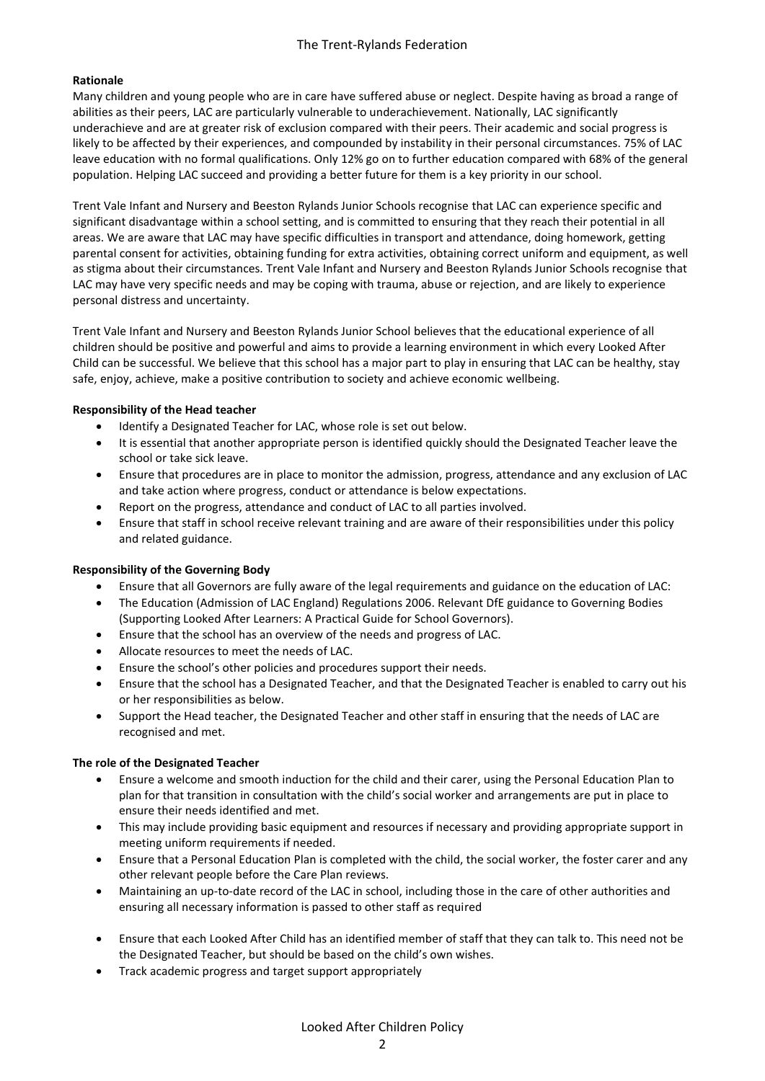# **Rationale**

Many children and young people who are in care have suffered abuse or neglect. Despite having as broad a range of abilities as their peers, LAC are particularly vulnerable to underachievement. Nationally, LAC significantly underachieve and are at greater risk of exclusion compared with their peers. Their academic and social progress is likely to be affected by their experiences, and compounded by instability in their personal circumstances. 75% of LAC leave education with no formal qualifications. Only 12% go on to further education compared with 68% of the general population. Helping LAC succeed and providing a better future for them is a key priority in our school.

Trent Vale Infant and Nursery and Beeston Rylands Junior Schools recognise that LAC can experience specific and significant disadvantage within a school setting, and is committed to ensuring that they reach their potential in all areas. We are aware that LAC may have specific difficulties in transport and attendance, doing homework, getting parental consent for activities, obtaining funding for extra activities, obtaining correct uniform and equipment, as well as stigma about their circumstances. Trent Vale Infant and Nursery and Beeston Rylands Junior Schools recognise that LAC may have very specific needs and may be coping with trauma, abuse or rejection, and are likely to experience personal distress and uncertainty.

Trent Vale Infant and Nursery and Beeston Rylands Junior School believes that the educational experience of all children should be positive and powerful and aims to provide a learning environment in which every Looked After Child can be successful. We believe that this school has a major part to play in ensuring that LAC can be healthy, stay safe, enjoy, achieve, make a positive contribution to society and achieve economic wellbeing.

## **Responsibility of the Head teacher**

- Identify a Designated Teacher for LAC, whose role is set out below.
- It is essential that another appropriate person is identified quickly should the Designated Teacher leave the school or take sick leave.
- Ensure that procedures are in place to monitor the admission, progress, attendance and any exclusion of LAC and take action where progress, conduct or attendance is below expectations.
- Report on the progress, attendance and conduct of LAC to all parties involved.
- Ensure that staff in school receive relevant training and are aware of their responsibilities under this policy and related guidance.

#### **Responsibility of the Governing Body**

- Ensure that all Governors are fully aware of the legal requirements and guidance on the education of LAC:
- The Education (Admission of LAC England) Regulations 2006. Relevant DfE guidance to Governing Bodies (Supporting Looked After Learners: A Practical Guide for School Governors).
- Ensure that the school has an overview of the needs and progress of LAC.
- Allocate resources to meet the needs of LAC.
- Ensure the school's other policies and procedures support their needs.
- Ensure that the school has a Designated Teacher, and that the Designated Teacher is enabled to carry out his or her responsibilities as below.
- Support the Head teacher, the Designated Teacher and other staff in ensuring that the needs of LAC are recognised and met.

# **The role of the Designated Teacher**

- Ensure a welcome and smooth induction for the child and their carer, using the Personal Education Plan to plan for that transition in consultation with the child's social worker and arrangements are put in place to ensure their needs identified and met.
- This may include providing basic equipment and resources if necessary and providing appropriate support in meeting uniform requirements if needed.
- Ensure that a Personal Education Plan is completed with the child, the social worker, the foster carer and any other relevant people before the Care Plan reviews.
- Maintaining an up-to-date record of the LAC in school, including those in the care of other authorities and ensuring all necessary information is passed to other staff as required
- Ensure that each Looked After Child has an identified member of staff that they can talk to. This need not be the Designated Teacher, but should be based on the child's own wishes.
- Track academic progress and target support appropriately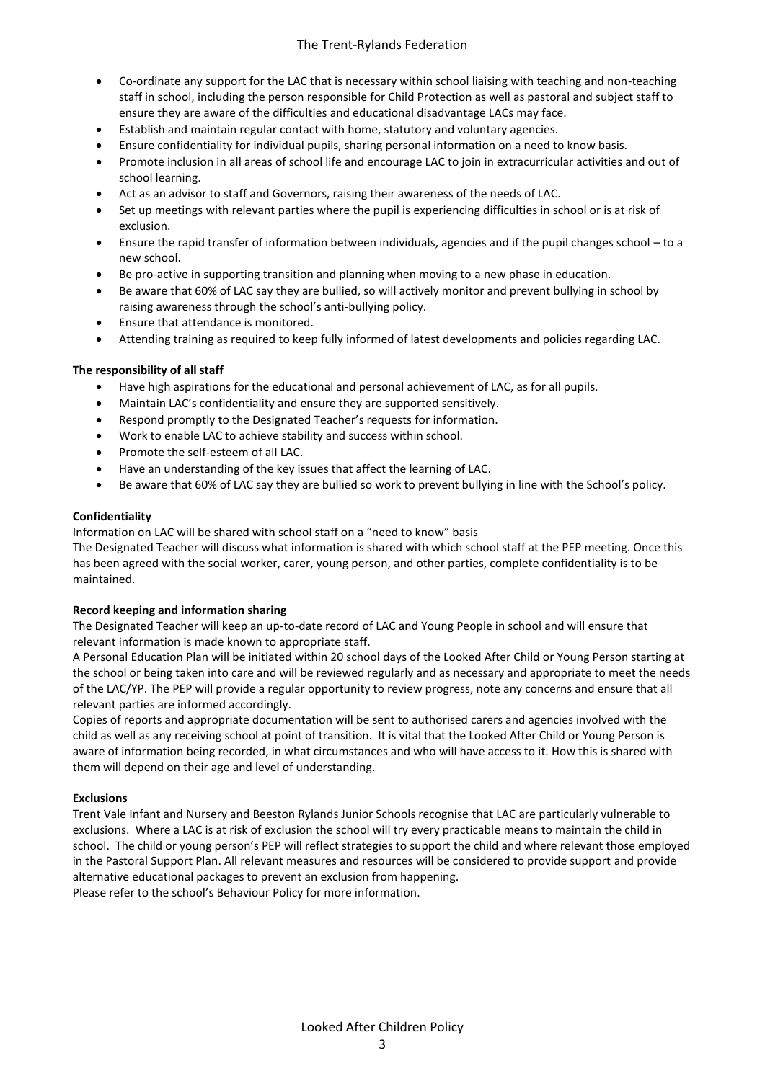# The Trent-Rylands Federation

- Co-ordinate any support for the LAC that is necessary within school liaising with teaching and non-teaching staff in school, including the person responsible for Child Protection as well as pastoral and subject staff to ensure they are aware of the difficulties and educational disadvantage LACs may face.
- Establish and maintain regular contact with home, statutory and voluntary agencies.
- Ensure confidentiality for individual pupils, sharing personal information on a need to know basis.
- Promote inclusion in all areas of school life and encourage LAC to join in extracurricular activities and out of school learning.
- Act as an advisor to staff and Governors, raising their awareness of the needs of LAC.
- Set up meetings with relevant parties where the pupil is experiencing difficulties in school or is at risk of exclusion.
- Ensure the rapid transfer of information between individuals, agencies and if the pupil changes school to a new school.
- Be pro-active in supporting transition and planning when moving to a new phase in education.
- Be aware that 60% of LAC say they are bullied, so will actively monitor and prevent bullying in school by raising awareness through the school's anti-bullying policy.
- Ensure that attendance is monitored.
- Attending training as required to keep fully informed of latest developments and policies regarding LAC.

## **The responsibility of all staff**

- Have high aspirations for the educational and personal achievement of LAC, as for all pupils.
- Maintain LAC's confidentiality and ensure they are supported sensitively.
- Respond promptly to the Designated Teacher's requests for information.
- Work to enable LAC to achieve stability and success within school.
- Promote the self-esteem of all LAC.
- Have an understanding of the key issues that affect the learning of LAC.
- Be aware that 60% of LAC say they are bullied so work to prevent bullying in line with the School's policy.

#### **Confidentiality**

Information on LAC will be shared with school staff on a "need to know" basis

The Designated Teacher will discuss what information is shared with which school staff at the PEP meeting. Once this has been agreed with the social worker, carer, young person, and other parties, complete confidentiality is to be maintained.

#### **Record keeping and information sharing**

The Designated Teacher will keep an up-to-date record of LAC and Young People in school and will ensure that relevant information is made known to appropriate staff.

A Personal Education Plan will be initiated within 20 school days of the Looked After Child or Young Person starting at the school or being taken into care and will be reviewed regularly and as necessary and appropriate to meet the needs of the LAC/YP. The PEP will provide a regular opportunity to review progress, note any concerns and ensure that all relevant parties are informed accordingly.

Copies of reports and appropriate documentation will be sent to authorised carers and agencies involved with the child as well as any receiving school at point of transition. It is vital that the Looked After Child or Young Person is aware of information being recorded, in what circumstances and who will have access to it. How this is shared with them will depend on their age and level of understanding.

#### **Exclusions**

Trent Vale Infant and Nursery and Beeston Rylands Junior Schools recognise that LAC are particularly vulnerable to exclusions. Where a LAC is at risk of exclusion the school will try every practicable means to maintain the child in school. The child or young person's PEP will reflect strategies to support the child and where relevant those employed in the Pastoral Support Plan. All relevant measures and resources will be considered to provide support and provide alternative educational packages to prevent an exclusion from happening. Please refer to the school's Behaviour Policy for more information.